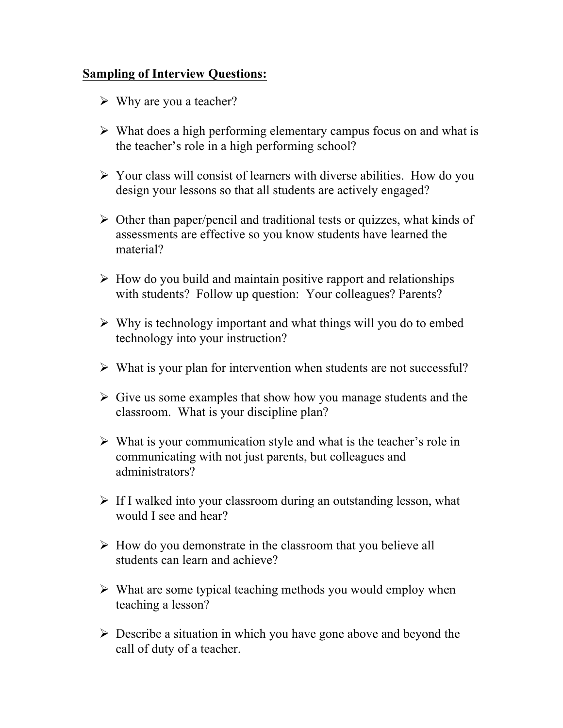## **Sampling of Interview Questions:**

- $\triangleright$  Why are you a teacher?
- $\triangleright$  What does a high performing elementary campus focus on and what is the teacher's role in a high performing school?
- $\triangleright$  Your class will consist of learners with diverse abilities. How do you design your lessons so that all students are actively engaged?
- $\triangleright$  Other than paper/pencil and traditional tests or quizzes, what kinds of assessments are effective so you know students have learned the material?
- $\triangleright$  How do you build and maintain positive rapport and relationships with students? Follow up question: Your colleagues? Parents?
- $\triangleright$  Why is technology important and what things will you do to embed technology into your instruction?
- $\triangleright$  What is your plan for intervention when students are not successful?
- $\triangleright$  Give us some examples that show how you manage students and the classroom. What is your discipline plan?
- $\triangleright$  What is your communication style and what is the teacher's role in communicating with not just parents, but colleagues and administrators?
- $\triangleright$  If I walked into your classroom during an outstanding lesson, what would I see and hear?
- $\triangleright$  How do you demonstrate in the classroom that you believe all students can learn and achieve?
- $\triangleright$  What are some typical teaching methods you would employ when teaching a lesson?
- $\triangleright$  Describe a situation in which you have gone above and beyond the call of duty of a teacher.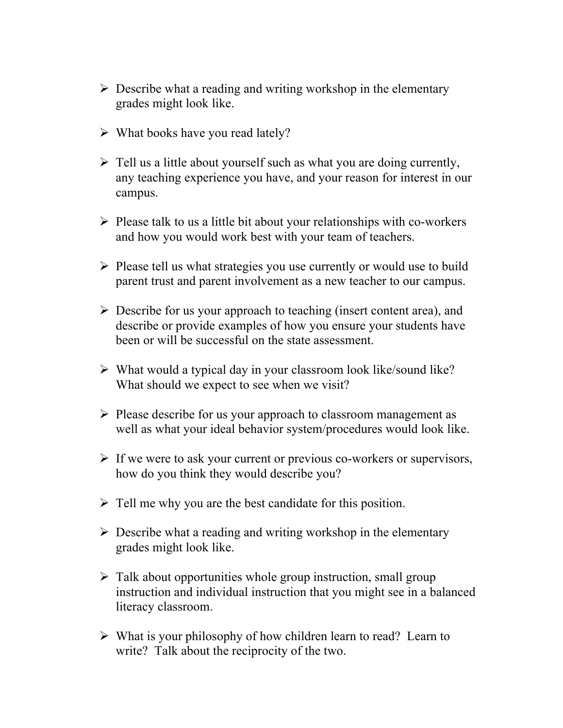- $\triangleright$  Describe what a reading and writing workshop in the elementary grades might look like.
- $\triangleright$  What books have you read lately?
- $\triangleright$  Tell us a little about yourself such as what you are doing currently, any teaching experience you have, and your reason for interest in our campus.
- $\triangleright$  Please talk to us a little bit about your relationships with co-workers and how you would work best with your team of teachers.
- $\triangleright$  Please tell us what strategies you use currently or would use to build parent trust and parent involvement as a new teacher to our campus.
- $\triangleright$  Describe for us your approach to teaching (insert content area), and describe or provide examples of how you ensure your students have been or will be successful on the state assessment.
- $\triangleright$  What would a typical day in your classroom look like/sound like? What should we expect to see when we visit?
- $\triangleright$  Please describe for us your approach to classroom management as well as what your ideal behavior system/procedures would look like.
- $\triangleright$  If we were to ask your current or previous co-workers or supervisors, how do you think they would describe you?
- $\triangleright$  Tell me why you are the best candidate for this position.
- $\triangleright$  Describe what a reading and writing workshop in the elementary grades might look like.
- $\triangleright$  Talk about opportunities whole group instruction, small group instruction and individual instruction that you might see in a balanced literacy classroom.
- $\triangleright$  What is your philosophy of how children learn to read? Learn to write? Talk about the reciprocity of the two.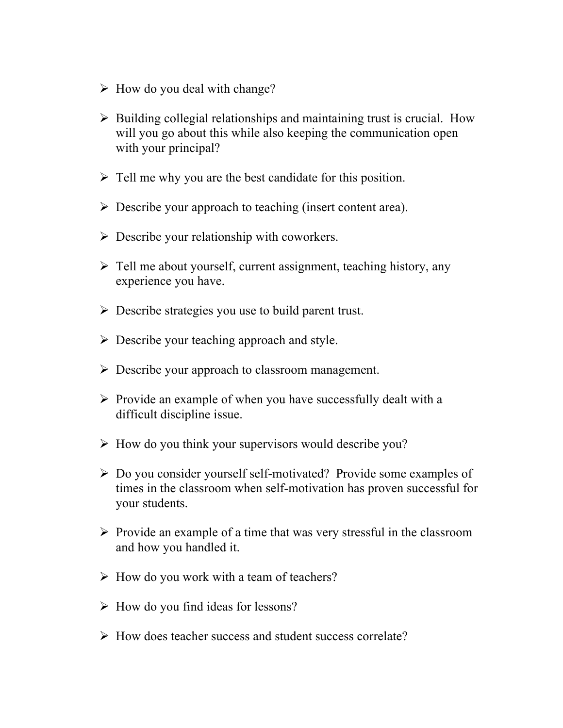- $\triangleright$  How do you deal with change?
- $\triangleright$  Building collegial relationships and maintaining trust is crucial. How will you go about this while also keeping the communication open with your principal?
- $\triangleright$  Tell me why you are the best candidate for this position.
- $\triangleright$  Describe your approach to teaching (insert content area).
- $\triangleright$  Describe your relationship with coworkers.
- $\triangleright$  Tell me about yourself, current assignment, teaching history, any experience you have.
- $\triangleright$  Describe strategies you use to build parent trust.
- $\triangleright$  Describe your teaching approach and style.
- $\triangleright$  Describe your approach to classroom management.
- $\triangleright$  Provide an example of when you have successfully dealt with a difficult discipline issue.
- $\triangleright$  How do you think your supervisors would describe you?
- $\triangleright$  Do you consider yourself self-motivated? Provide some examples of times in the classroom when self-motivation has proven successful for your students.
- $\triangleright$  Provide an example of a time that was very stressful in the classroom and how you handled it.
- $\triangleright$  How do you work with a team of teachers?
- $\triangleright$  How do you find ideas for lessons?
- $\triangleright$  How does teacher success and student success correlate?